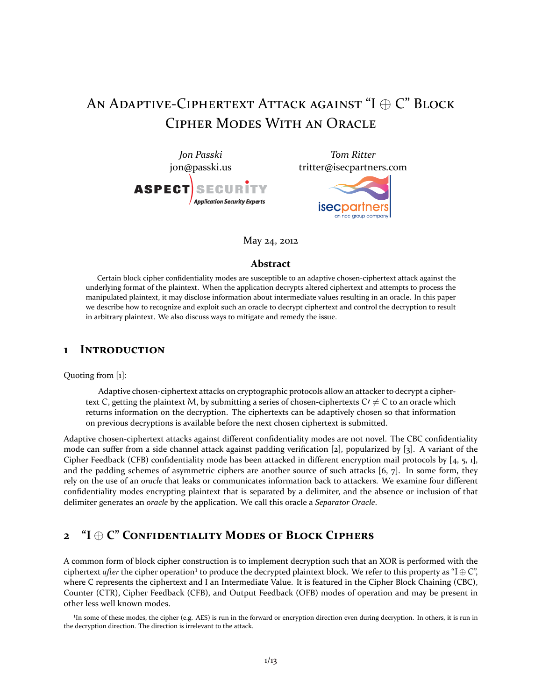# <span id="page-0-1"></span>AN ADAPTIVE-CIPHERTEXT ATTACK AGAINST "I A C" BLOCK **CIPHER MODES WITH AN ORACLE**



**Tom Ritter** tritter@isecpartners.com



#### May 24, 2012

#### Abstract

Certain block cipher confidentiality modes are susceptible to an adaptive chosen-ciphertext attack against the underlying format of the plaintext. When the application decrypts altered ciphertext and attempts to process the manipulated plaintext, it may disclose information about intermediate values resulting in an oracle. In this paper we describe how to recognize and exploit such an oracle to decrypt ciphertext and control the decryption to result in arbitrary plaintext. We also discuss ways to mitigate and remedy the issue.

#### **INTRODUCTION**  $\blacksquare$

Quoting from  $[1]$ :

Adaptive chosen-ciphertext attacks on cryptographic protocols allow an attacker to decrypt a ciphertext C, getting the plaintext M, by submitting a series of chosen-ciphertexts  $C \neq C$  to an oracle which returns information on the decryption. The ciphertexts can be adaptively chosen so that information on previous decryptions is available before the next chosen ciphertext is submitted.

Adaptive chosen-ciphertext attacks against different confidentiality modes are not novel. The CBC confidentiality mode can suffer from a side channel attack against padding verification [2], popularized by [3]. A variant of the Cipher Feedback (CFB) confidentiality mode has been attacked in different encryption mail protocols by  $[4, 5, 1]$ , and the padding schemes of asymmetric ciphers are another source of such attacks  $[6, 7]$ . In some form, they rely on the use of an oracle that leaks or communicates information back to attackers. We examine four different confidentiality modes encrypting plaintext that is separated by a delimiter, and the absence or inclusion of that delimiter generates an oracle by the application. We call this oracle a Separator Oracle.

#### "I  $\oplus$  C" CONFIDENTIALITY MODES OF BLOCK CIPHERS  $\overline{2}$

A common form of block cipher construction is to implement decryption such that an XOR is performed with the ciphertext *after* the cipher operation<sup>1</sup> to produce the decrypted plaintext block. We refer to this property as "I  $\oplus$  C", where C represents the ciphertext and I an Intermediate Value. It is featured in the Cipher Block Chaining (CBC), Counter (CTR), Cipher Feedback (CFB), and Output Feedback (OFB) modes of operation and may be present in other less well known modes.

<span id="page-0-0"></span><sup>&</sup>lt;sup>1</sup>In some of these modes, the cipher (e.g. AES) is run in the forward or encryption direction even during decryption. In others, it is run in the decryption direction. The direction is irrelevant to the attack.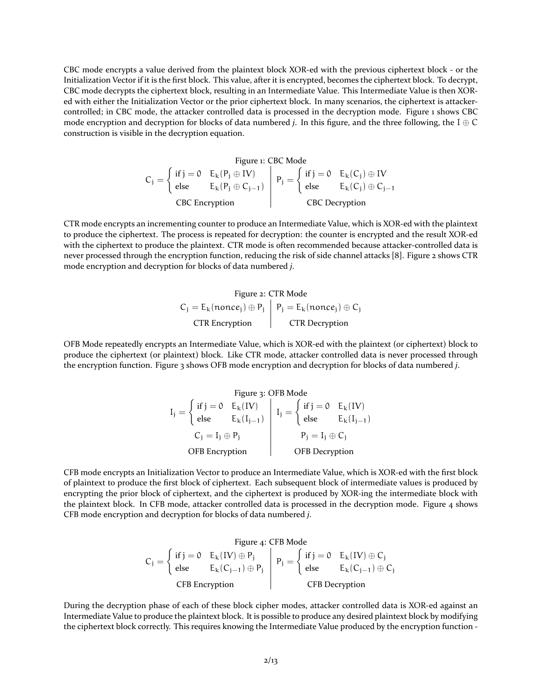<span id="page-1-4"></span>CBC mode encrypts a value derived from the plaintext block XOR-ed with the previous ciphertext block - or the Initialization Vector if it is the first block. This value, after it is encrypted, becomes the ciphertext block. To decrypt, CBC mode decrypts the ciphertext block, resulting in an Intermediate Value. This Intermediate Value is then XORed with either the Initialization Vector or the prior ciphertext block. In many scenarios, the ciphertext is attackercontrolled; in CBC mode, the attacker controlled data is processed in the decryption mode. Figure [1](#page-1-0) shows CBC mode encryption and decryption for blocks of data numbered *j*. In this figure, and the three following, the I *⊕* C construction is visible in the decryption equation.

<span id="page-1-0"></span>
$$
C_j = \left\{ \begin{array}{ll} \text{if } j = 0 & E_k(P_j \oplus IV) \\ \text{else} & E_k(P_j \oplus C_{j-1}) \\ \text{CBC Encryption} \end{array} \right| \left. \begin{array}{ll} p_j = \left\{ \begin{array}{ll} \text{if } j = 0 & E_k(C_j) \oplus IV \\ \text{else} & E_k(C_j) \oplus C_{j-1} \\ \text{else} & E_k(C_j) \oplus C_{j-1} \\ \text{CBC Encryption} \end{array} \right. \end{array}
$$

CTR mode encrypts an incrementing counter to produce an Intermediate Value, which is XOR-ed with the plaintext to produce the ciphertext. The process is repeated for decryption: the counter is encrypted and the result XOR-ed with the ciphertext to produce the plaintext. CTR mode is often recommended because attacker-controlled data is never processed through the encryption function, reducing the risk of side channel attacks[[8](#page-6-7)]. Figure [2](#page-1-1) shows CTR mode encryption and decryption for blocks of data numbered *j*.

<span id="page-1-1"></span>\n Figure 2: CTR Mode  
\n
$$
C_j = E_k(\text{none}_j) \oplus P_j \mid P_j = E_k(\text{none}_j) \oplus C_j
$$
\n

\n\n CTR Encryption  
\n CTR Decryption\n

OFB Mode repeatedly encrypts an Intermediate Value, which is XOR-ed with the plaintext (or ciphertext) block to produce the ciphertext (or plaintext) block. Like CTR mode, attacker controlled data is never processed through the encryption function. Figure [3](#page-1-2) shows OFB mode encryption and decryption for blocks of data numbered *j*.

<span id="page-1-2"></span>

| Figure 3: OFB Mode                                                                                                                                                                                                                                                                   |  |
|--------------------------------------------------------------------------------------------------------------------------------------------------------------------------------------------------------------------------------------------------------------------------------------|--|
| $I_j = \left\{ \begin{array}{ll} \text{if } j = 0 & E_k(IV) \\ \text{else} & E_k(I_{j-1}) \\ C_j = I_j \oplus P_j \end{array} \right  \quad I_j = \left\{ \begin{array}{ll} \text{if } j = 0 & E_k(IV) \\ \text{else} & E_k(I_{j-1}) \\ P_j = I_j \oplus C_j \end{array} \right.$ \n |  |
| OFB Encryption OFB Encryption OFB Decryption                                                                                                                                                                                                                                         |  |

CFB mode encrypts an Initialization Vector to produce an Intermediate Value, which is XOR-ed with the first block of plaintext to produce the first block of ciphertext. Each subsequent block of intermediate values is produced by encrypting the prior block of ciphertext, and the ciphertext is produced by XOR-ing the intermediate block with the plaintext block. In CFB mode, attacker controlled data is processed in the decryption mode. Figure [4](#page-1-3) shows CFB mode encryption and decryption for blocks of data numbered *j*.

<span id="page-1-3"></span>Figure 4: CFB Mode  
\n
$$
C_j = \begin{cases}\n\text{if } j = 0 & E_k(IV) \oplus P_j \\
\text{else} & E_k(C_{j-1}) \oplus P_j\n\end{cases} \begin{matrix}\nP_j = \begin{cases}\n\text{if } j = 0 & E_k(IV) \oplus C_j \\
\text{else} & E_k(C_{j-1}) \oplus C_j\n\end{cases} \\
\text{CFB Encryption} \end{matrix}
$$

During the decryption phase of each of these block cipher modes, attacker controlled data is XOR-ed against an Intermediate Value to produce the plaintext block. It is possible to produce any desired plaintext block by modifying the ciphertext block correctly. This requires knowing the Intermediate Value produced by the encryption function -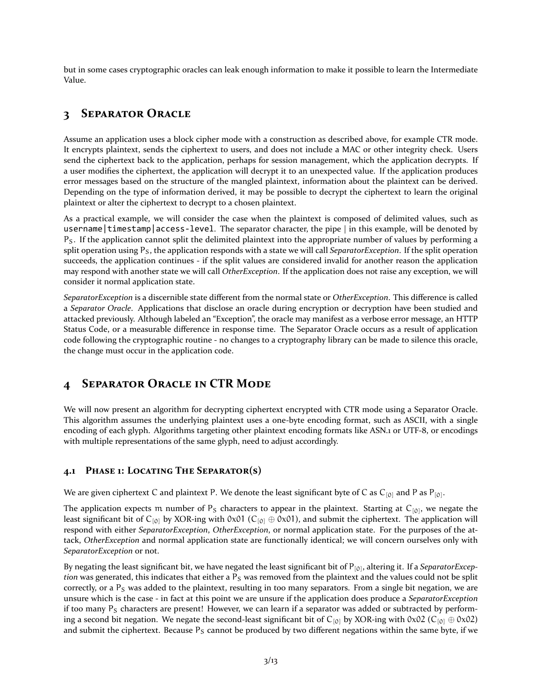but in some cases cryptographic oracles can leak enough information to make it possible to learn the Intermediate Value.

## **3 SEPARATOR ORACLE**

Assume an application uses a block cipher mode with a construction as described above, for example CTR mode. It encrypts plaintext, sends the ciphertext to users, and does not include a MAC or other integrity check. Users send the ciphertext back to the application, perhaps for session management, which the application decrypts. If a user modifies the ciphertext, the application will decrypt it to an unexpected value. If the application produces error messages based on the structure of the mangled plaintext, information about the plaintext can be derived. Depending on the type of information derived, it may be possible to decrypt the ciphertext to learn the original plaintext or alter the ciphertext to decrypt to a chosen plaintext.

As a practical example, we will consider the case when the plaintext is composed of delimited values, such as username|timestamp|access-level. The separator character, the pipe | in this example, will be denoted by PS. If the application cannot split the delimited plaintext into the appropriate number of values by performing a split operation using P<sub>S</sub>, the application responds with a state we will call *SeparatorException*. If the split operation succeeds, the application continues - if the split values are considered invalid for another reason the application may respond with another state we will call *OtherException*. If the application does not raise any exception, we will consider it normal application state.

*SeparatorException* is a discernible state different from the normal state or *OtherException*. This difference is called a *Separator Oracle*. Applications that disclose an oracle during encryption or decryption have been studied and attacked previously. Although labeled an "Exception", the oracle may manifest as a verbose error message, an HTTP Status Code, or a measurable difference in response time. The Separator Oracle occurs as a result of application code following the cryptographic routine - no changes to a cryptography library can be made to silence this oracle, the change must occur in the application code.

## **4 SEPARATOR ORACLE IN CTR MODE**

We will now present an algorithm for decrypting ciphertext encrypted with CTR mode using a Separator Oracle. This algorithm assumes the underlying plaintext uses a one-byte encoding format, such as ASCII, with a single encoding of each glyph. Algorithms targeting other plaintext encoding formats like ASN.1 or UTF-8, or encodings with multiple representations of the same glyph, need to adjust accordingly.

#### 4.1 PHASE 1: LOCATING THE SEPARATOR(S)

We are given ciphertext C and plaintext P. We denote the least significant byte of C as  $C_{[0]}$  and P as P<sub>[0]</sub>.

The application expects  $m$  number of  $P_S$  characters to appear in the plaintext. Starting at  $C_{[0]}$ , we negate the least significant bit of C<sub>[0]</sub> by XOR-ing with 0x01 (C<sub>[0]</sub>  $\oplus$  0x01), and submit the ciphertext. The application will respond with either *SeparatorException*, *OtherException*, or normal application state. For the purposes of the attack, *OtherException* and normal application state are functionally identical; we will concern ourselves only with *SeparatorException* or not.

By negating the least significant bit, we have negated the least significant bit of P[0] , altering it. If a *SeparatorException* was generated, this indicates that either a P<sub>S</sub> was removed from the plaintext and the values could not be split correctly, or a  $P_S$  was added to the plaintext, resulting in too many separators. From a single bit negation, we are unsure which is the case - in fact at this point we are unsure if the application does produce a *SeparatorException* if too many  $P_S$  characters are present! However, we can learn if a separator was added or subtracted by performing a second bit negation. We negate the second-least significant bit of C<sub>[0]</sub> by XOR-ing with 0x02 (C<sub>[0]</sub>  $\oplus$  0x02) and submit the ciphertext. Because  $P<sub>S</sub>$  cannot be produced by two different negations within the same byte, if we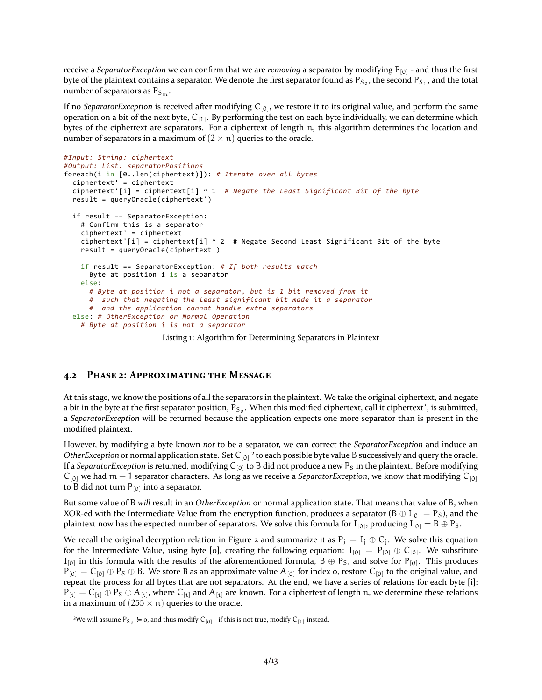receive a *SeparatorException* we can confirm that we are *removing* a separator by modifying P[0] - and thus the first byte of the plaintext contains a separator. We denote the first separator found as  $P_{S_0}$ , the second  $P_{S_1}$ , and the total number of separators as  $P_{S_m}$ .

If no *SeparatorException* is received after modifying C<sub>[0]</sub>, we restore it to its original value, and perform the same operation on a bit of the next byte,  $C_{[1]}$ . By performing the test on each byte individually, we can determine which bytes of the ciphertext are separators. For a ciphertext of length n, this algorithm determines the location and number of separators in a maximum of  $(2 \times n)$  queries to the oracle.

```
#Input: String: ciphertext
#Output: List: separatorPositions
foreach(i in [0..len(ciphertext)]): # Iterate over all bytes
  ciphertext' = ciphertext
  ciphertext'[i] = ciphertext[i] ^ 1 # Negate the Least Significant Bit of the byte
  result = queryOracle(ciphertext')
  if result == SeparatorException:
   # Confirm this is a separator
    ciphertext' = ciphertext
   ciphertext'[i] = ciphertext[i] \land 2 # Negate Second Least Significant Bit of the byte
   result = queryOracle(ciphertext')
    if result == SeparatorException: # If both results match
      Byte at position i is a separator
    else:
      # Byte at position i not a separator, but is 1 bit removed from it
      # such that negating the least significant bit made it a separator
      # and the application cannot handle extra separators
  else: # OtherException or Normal Operation
    # Byte at position i is not a separator
```
Listing 1: Algorithm for Determining Separators in Plaintext

#### **4.2 PHASE 2: APPROXIMATING THE MESSAGE**

At this stage, we know the positions of all the separators in the plaintext. We take the original ciphertext, and negate a bit in the byte at the first separator position, P<sub>S0</sub>. When this modified ciphertext, call it ciphertext', is submitted, a *SeparatorException* will be returned because the application expects one more separator than is present in the modified plaintext.

However, by modifying a byte known *not* to be a separator, we can correct the *SeparatorException* and induce an *OtherException* or normal application state. Set C<sub>[0]</sub> <sup>2</sup> to each possible byte value B successively and query the oracle. If a *SeparatorException* is returned, modifying C<sub>[0]</sub> to B did not produce a new P<sub>S</sub> in the plaintext. Before modifying C[0] we had m − 1 separator characters. As long as we receive a *SeparatorException*, we know that modifying C[0] to B did not turn  $P_{[0]}$  into a separator.

But some value of B *will* result in an *OtherException* or normal application state. That means that value of B, when XOR-ed with the Intermediate Value from the encryption function, produces a separator ( $B \oplus I_{[0]} = P_S$ ), and the plaintext now has the expected number of separators. We solve this formula for  $I_{[0]}$ , producing  $I_{[0]} = B \oplus P_S$ .

We recall the original decryption relation in Figure [2](#page-1-1) and summarize it as  $P_i = I_i \oplus C_i$ . We solve this equation for the Intermediate Value, using byte [o], creating the following equation:  $I_{[0]} = P_{[0]} \oplus C_{[0]}$ . We substitute  $I_{[0]}$  in this formula with the results of the aforementioned formula,  $B \oplus P_S$ , and solve for P<sub>[0]</sub>. This produces  $P_{[0]} = C_{[0]} \oplus P_S \oplus B$ . We store B as an approximate value  $A_{[0]}$  for index o, restore  $C_{[0]}$  to the original value, and repeat the process for all bytes that are not separators. At the end, we have a series of relations for each byte [i]:  $P_{[i]} = C_{[i]} \oplus P_S \oplus A_{[i]}$ , where  $C_{[i]}$  and  $A_{[i]}$  are known. For a ciphertext of length n, we determine these relations in a maximum of  $(255 \times n)$  queries to the oracle.

<span id="page-3-0"></span><sup>&</sup>lt;sup>2</sup>We will assume  $P_{S_Q}$  != 0, and thus modify  $C_{[0]}$  - if this is not true, modify  $C_{[1]}$  instead.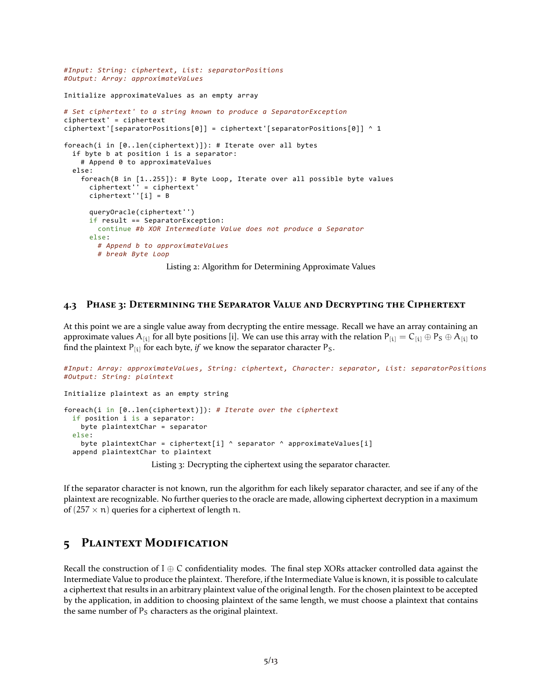```
#Input: String: ciphertext, List: separatorPositions
#Output: Array: approximateValues
Initialize approximateValues as an empty array
# Set ciphertext' to a string known to produce a SeparatorException
ciphertext' = ciphertext
ciphertext'[separatorPositions[0]] = ciphertext'[separatorPositions[0]] ^ 1
foreach(i in [0..len(ciphertext)]): # Iterate over all bytes
  if byte b at position i is a separator:
    # Append 0 to approximateValues
  else:
    foreach(B in [1..255]): # Byte Loop, Iterate over all possible byte values
      ciphertext'' = ciphertext'
      ciphertext''[i] = B
      queryOracle(ciphertext'')
      if result == SeparatorException:
        continue #b XOR Intermediate Value does not produce a Separator
      else:
       # Append b to approximateValues
        # break Byte Loop
```
Listing 2: Algorithm for Determining Approximate Values

### 4.3 PHASE 3: DETERMINING THE SEPARATOR VALUE AND DECRYPTING THE CIPHERTEXT

At this point we are a single value away from decrypting the entire message. Recall we have an array containing an approximate values  $A_{[i]}$  for all byte positions [i]. We can use this array with the relation  $P_{[i]}=C_{[i]}\oplus P_S\oplus A_{[i]}$  to find the plaintext  $P_{[i]}$  for each byte, *if* we know the separator character  $P_S$ .

```
#Input: Array: approximateValues, String: ciphertext, Character: separator, List: separatorPositions
#Output: String: plaintext
Initialize plaintext as an empty string
foreach(i in [0..len(ciphertext)]): # Iterate over the ciphertext
  if position i is a separator:
    byte plaintextChar = separator
  else:
    byte plaintextChar = ciphertext[i] ^ separator ^ approximateValues[i]
  append plaintextChar to plaintext
                     Listing 3: Decrypting the ciphertext using the separator character.
```
If the separator character is not known, run the algorithm for each likely separator character, and see if any of the plaintext are recognizable. No further queries to the oracle are made, allowing ciphertext decryption in a maximum of  $(257 \times n)$  queries for a ciphertext of length n.

### <span id="page-4-0"></span>5 PLAINTEXT MODIFICATION

Recall the construction of I *⊕* C confidentiality modes. The final step XORs attacker controlled data against the Intermediate Value to produce the plaintext. Therefore, if the Intermediate Value is known, it is possible to calculate a ciphertext that results in an arbitrary plaintext value of the original length. For the chosen plaintext to be accepted by the application, in addition to choosing plaintext of the same length, we must choose a plaintext that contains the same number of  $P_S$  characters as the original plaintext.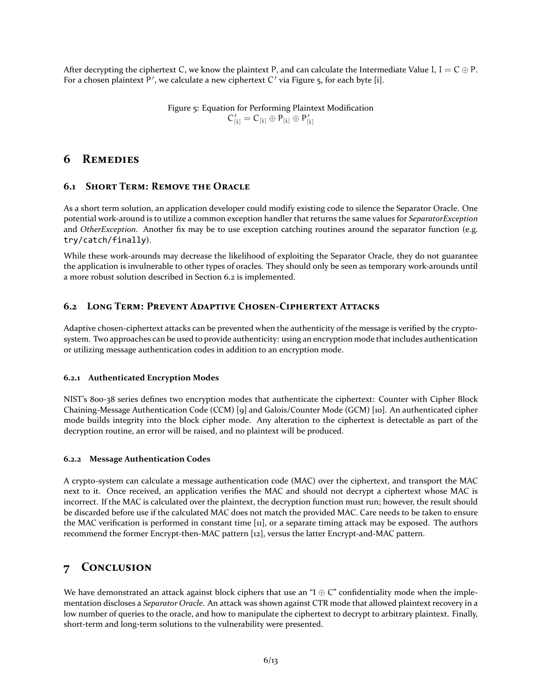<span id="page-5-1"></span>After decrypting the ciphertext C, we know the plaintext P, and can calculate the Intermediate Value I,  $I = C \oplus P$ . For a chosen plaintext  $P'$ , we calculate a new ciphertext  $C'$  via Figure 5, for each byte [i].

> Figure 5: Equation for Performing Plaintext Modification  $C'_{[i]} = C_{[i]} \oplus P_{[i]} \oplus P'_{[i]}$

#### 6 **REMEDIES**

#### **6.1 SHORT TERM: REMOVE THE ORACLE**

As a short term solution, an application developer could modify existing code to silence the Separator Oracle. One potential work-around is to utilize a common exception handler that returns the same values for SeparatorException and OtherException. Another fix may be to use exception catching routines around the separator function (e.g. try/catch/finally).

While these work-arounds may decrease the likelihood of exploiting the Separator Oracle, they do not guarantee the application is invulnerable to other types of oracles. They should only be seen as temporary work-arounds until a more robust solution described in Section 6.2 is implemented.

### <span id="page-5-0"></span>6.2 LONG TERM: PREVENT ADAPTIVE CHOSEN-CIPHERTEXT ATTACKS

Adaptive chosen-ciphertext attacks can be prevented when the authenticity of the message is verified by the cryptosystem. Two approaches can be used to provide authenticity: using an encryption mode that includes authentication or utilizing message authentication codes in addition to an encryption mode.

#### 6.2.1 Authenticated Encryption Modes

NIST's 800-38 series defines two encryption modes that authenticate the ciphertext: Counter with Cipher Block Chaining-Message Authentication Code (CCM) [9] and Galois/Counter Mode (GCM) [10]. An authenticated cipher mode builds integrity into the block cipher mode. Any alteration to the ciphertext is detectable as part of the decryption routine, an error will be raised, and no plaintext will be produced.

#### 6.2.2 Message Authentication Codes

A crypto-system can calculate a message authentication code (MAC) over the ciphertext, and transport the MAC next to it. Once received, an application verifies the MAC and should not decrypt a ciphertext whose MAC is incorrect. If the MAC is calculated over the plaintext, the decryption function must run; however, the result should be discarded before use if the calculated MAC does not match the provided MAC. Care needs to be taken to ensure the MAC verification is performed in constant time [11], or a separate timing attack may be exposed. The authors recommend the former Encrypt-then-MAC pattern [12], versus the latter Encrypt-and-MAC pattern.

#### **CONCLUSION**  $\overline{7}$

We have demonstrated an attack against block ciphers that use an "I  $\oplus$  C" confidentiality mode when the implementation discloses a Separator Oracle. An attack was shown against CTR mode that allowed plaintext recovery in a low number of queries to the oracle, and how to manipulate the ciphertext to decrypt to arbitrary plaintext. Finally, short-term and long-term solutions to the vulnerability were presented.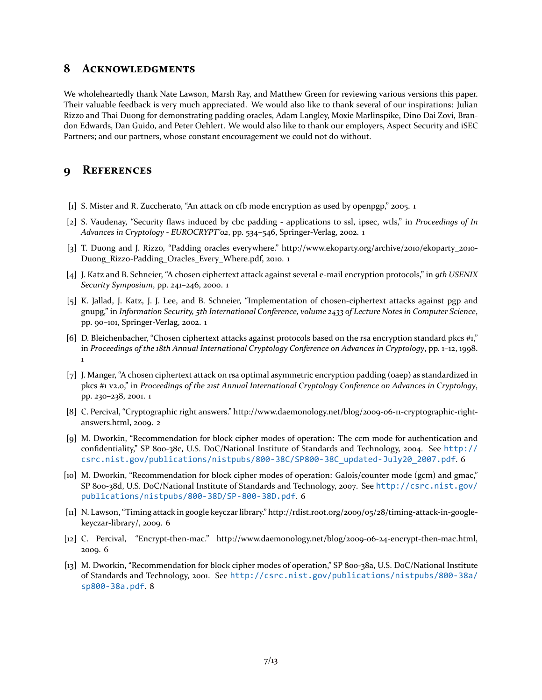#### **8 ACKNOWLEDGMENTS**

We wholeheartedly thank Nate Lawson, Marsh Ray, and Matthew Green for reviewing various versions this paper. Their valuable feedback is very much appreciated. We would also like to thank several of our inspirations: Julian Rizzo and Thai Duong for demonstrating padding oracles, Adam Langley, Moxie Marlinspike, Dino Dai Zovi, Brandon Edwards, Dan Guido, and Peter Oehlert. We would also like to thank our employers, Aspect Security and iSEC Partners; and our partners, whose constant encouragement we could not do without.

## **9** REFERENCES

- <span id="page-6-0"></span>[[1](#page-0-1)] S. Mister and R. Zuccherato, "An attack on cfb mode encryption as used by openpgp," 2005. 1
- <span id="page-6-1"></span>[2] S. Vaudenay, "Security flaws induced by cbc padding - applications to ssl, ipsec, wtls," in *Proceedings of In Advances in Cryptology - EUROCRYPT'02*, pp. 534–546, Springer-Verlag, 2002. [1](#page-0-1)
- <span id="page-6-2"></span>[3] T. Duong and J. Rizzo, "Padding oracles everywhere." http://www.ekoparty.org/archive/2010/ekoparty\_2010- Duong\_Rizzo-Padding\_Oracles\_Every\_Where.pdf, 2010. [1](#page-0-1)
- <span id="page-6-3"></span>[4] J. Katz and B. Schneier, "A chosen ciphertext attack against several e-mail encryption protocols," in *9th USENIX Security Symposium*, pp. 241–246, 2000. [1](#page-0-1)
- <span id="page-6-4"></span>[5] K. Jallad, J. Katz, J. J. Lee, and B. Schneier, "Implementation of chosen-ciphertext attacks against pgp and gnupg," in *Information Security, 5th International Conference, volume 2433 of Lecture Notes in Computer Science*, pp. 90–101, Springer-Verlag, 2002. [1](#page-0-1)
- <span id="page-6-5"></span>[6] D. Bleichenbacher, "Chosen ciphertext attacks against protocols based on the rsa encryption standard pkcs #1," in *Proceedings of the 18th Annual International Cryptology Conference on Advances in Cryptology*, pp. 1–12, 1998. [1](#page-0-1)
- <span id="page-6-6"></span>[7] J. Manger, "A chosen ciphertext attack on rsa optimal asymmetric encryption padding (oaep) as standardized in pkcs #1 v2.0," in *Proceedings of the 21st Annual International Cryptology Conference on Advances in Cryptology*, pp. 230–238, 2001. [1](#page-0-1)
- <span id="page-6-7"></span>[8] C. Percival, "Cryptographic right answers." http://www.daemonology.net/blog/2009-06-11-cryptographic-rightanswers.html, 2009. [2](#page-1-4)
- <span id="page-6-8"></span>[9] M. Dworkin, "Recommendation for block cipher modes of operation: The ccm mode for authentication and confidentiality," SP 800-38c, U.S. DoC/National Institute of Standards and Technology, 2004. See [http://](http://csrc.nist.gov/publications/nistpubs/800-38C/SP800-38C_updated-July20_2007.pdf) [csrc.nist.gov/publications/nistpubs/800-38C/SP800-38C\\_updated-July20\\_2007.pdf](http://csrc.nist.gov/publications/nistpubs/800-38C/SP800-38C_updated-July20_2007.pdf). [6](#page-5-1)
- <span id="page-6-9"></span>[10] M. Dworkin, "Recommendation for block cipher modes of operation: Galois/counter mode (gcm) and gmac," SP 800-38d, U.S. DoC/National Institute of Standards and Technology, 2007. See [http://csrc.nist.gov/](http://csrc.nist.gov/publications/nistpubs/800-38D/SP-800-38D.pdf) [publications/nistpubs/800-38D/SP-800-38D.pdf](http://csrc.nist.gov/publications/nistpubs/800-38D/SP-800-38D.pdf). [6](#page-5-1)
- <span id="page-6-10"></span>[11] N. Lawson, "Timing attack in google keyczar library." http://rdist.root.org/2009/05/28/timing-attack-in-googlekeyczar-library/, 2009. [6](#page-5-1)
- <span id="page-6-11"></span>[12] C. Percival, "Encrypt-then-mac." http://www.daemonology.net/blog/2009-06-24-encrypt-then-mac.html, 2009. [6](#page-5-1)
- <span id="page-6-12"></span>[13] M. Dworkin, "Recommendation for block cipher modes of operation," SP 800-38a, U.S. DoC/National Institute of Standards and Technology, 2001. See [http://csrc.nist.gov/publications/nistpubs/800-38a/](http://csrc.nist.gov/publications/nistpubs/800-38a/sp800-38a.pdf) [sp800-38a.pdf](http://csrc.nist.gov/publications/nistpubs/800-38a/sp800-38a.pdf). [8](#page-7-0)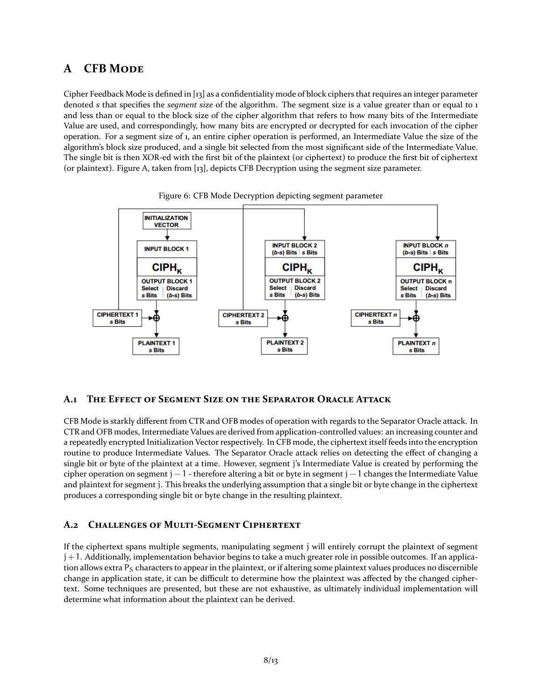## <span id="page-7-1"></span><span id="page-7-0"></span>**A CFB** MODE

Cipher Feedback Mode is defined in [\[13](#page-6-12)] as a confidentiality mode of block ciphers that requires an integer parameter denoted *s* that specifies the *segment size* of the algorithm. The segment size is a value greater than or equal to 1 and less than or equal to the block size of the cipher algorithm that refers to how many bits of the Intermediate Value are used, and correspondingly, how many bits are encrypted or decrypted for each invocation of the cipher operation. For a segment size of 1, an entire cipher operation is performed, an Intermediate Value the size of the algorithm's block size produced, and a single bit selected from the most significant side of the Intermediate Value. The single bit is then XOR-ed with the first bit of the plaintext (or ciphertext) to produce the first bit of ciphertext (or plaintext). Figure [A,](#page-7-1) taken from [\[13\]](#page-6-12), depicts CFB Decryption using the segment size parameter.





#### **A.1 THE EFFECT OF SEGMENT SIZE ON THE SEPARATOR ORACLE ATTACK**

CFB Mode is starkly different from CTR and OFB modes of operation with regards to the Separator Oracle attack. In CTR and OFB modes, Intermediate Values are derived from application-controlled values: an increasing counter and a repeatedly encrypted Initialization Vector respectively. In CFB mode, the ciphertext itself feeds into the encryption routine to produce Intermediate Values. The Separator Oracle attack relies on detecting the effect of changing a single bit or byte of the plaintext at a time. However, segment j's Intermediate Value is created by performing the cipher operation on segment j  $-1$  - therefore altering a bit or byte in segment j  $-1$  changes the Intermediate Value and plaintext for segment j. This breaks the underlying assumption that a single bit or byte change in the ciphertext produces a corresponding single bit or byte change in the resulting plaintext.

#### **A.2 CHALLENGES OF MULTI-SEGMENT CIPHERTEXT**

If the ciphertext spans multiple segments, manipulating segment j will entirely corrupt the plaintext of segment  $j+1$ . Additionally, implementation behavior begins to take a much greater role in possible outcomes. If an application allows extra  $P_S$  characters to appear in the plaintext, or if altering some plaintext values produces no discernible change in application state, it can be difficult to determine how the plaintext was affected by the changed ciphertext. Some techniques are presented, but these are not exhaustive, as ultimately individual implementation will determine what information about the plaintext can be derived.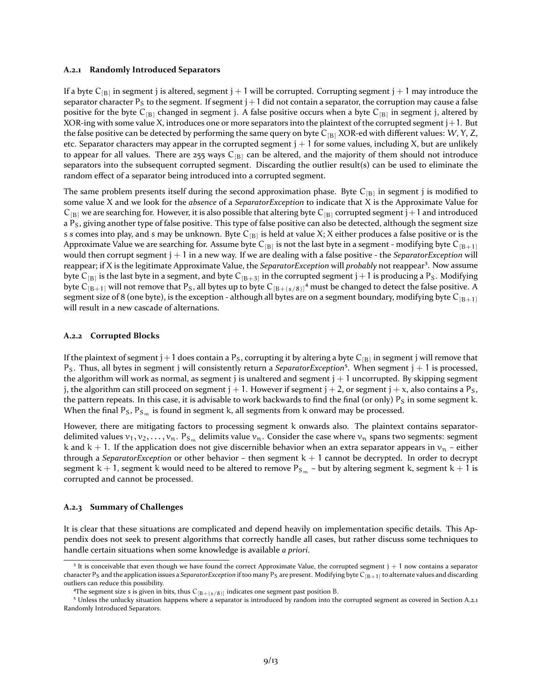#### <span id="page-8-3"></span>**A.2.1 Randomly Introduced Separators**

If a byte  $C_{[B]}$  in segment j is altered, segment j  $+$  1 will be corrupted. Corrupting segment j  $+$  1 may introduce the separator character  $P_S$  to the segment. If segment  $j+1$  did not contain a separator, the corruption may cause a false positive for the byte  $C_{[B]}$  changed in segment j. A false positive occurs when a byte  $C_{[B]}$  in segment j, altered by XOR-ing with some value X, introduces one or more separators into the plaintext of the corrupted segment  $j+1$ . But the false positive can be detected by performing the same query on byte  $C_{[B]}$  XOR-ed with different values: W, Y, Z, etc. Separator characters may appear in the corrupted segment  $j + 1$  for some values, including X, but are unlikely to appear for all values. There are 255 ways  $C_{[B]}$  can be altered, and the majority of them should not introduce separators into the subsequent corrupted segment. Discarding the outlier result(s) can be used to eliminate the random effect of a separator being introduced into a corrupted segment.

The same problem presents itself during the second approximation phase. Byte  $C_{[B]}$  in segment j is modified to some value X and we look for the *absence* of a *SeparatorException* to indicate that X is the Approximate Value for  $C_{[B]}$  we are searching for. However, it is also possible that altering byte  $C_{[B]}$  corrupted segment j + 1 and introduced a  $P<sub>S</sub>$ , giving another type of false positive. This type of false positive can also be detected, although the segment size s *s* comes into play, and *s* may be unknown. Byte C<sub>[B]</sub> is held at value X; X either produces a false positive or is the Approximate Value we are searching for. Assume byte  $C_{[B]}$  is not the last byte in a segment - modifying byte  $C_{[B+1]}$ would then corrupt segment j + 1 in a new way. If we are dealing with a false positive - the *SeparatorException* will reappear; if X is the legitimate Approximate Value, the *SeparatorException* will *probably* not reappear<sup>3</sup>. Now assume byte  $C_{[B]}$  is the last byte in a segment, and byte  $C_{[B+3]}$  in the corrupted segment  $j+1$  is producing a  $P_S$ . Modifying byte  $C_{[B+1]}$  will not remove that P<sub>S</sub>, all bytes up to byte  $C_{[B+(s/8)]}$ <sup>4</sup> must be changed to detect the false positive. A segment size of 8 (one byte), is the exception - although all bytes are on a segment boundary, modifying byte  $C_{[B+1]}$ will result in a new cascade of alternations.

#### <span id="page-8-4"></span>**A.2.2 Corrupted Blocks**

If the plaintext of segment  $j+1$  does contain a  $P_S$ , corrupting it by altering a byte  $C_{[B]}$  in segment  $j$  will remove that P<sub>S</sub>. Thus, all bytes in segment j will consistently return a *SeparatorException*<sup>5</sup>. When segment j + 1 is processed, the algorithm will work as normal, as segment j is unaltered and segment  $j + 1$  uncorrupted. By skipping segment j, the algorithm can still proceed on segment  $j + 1$ . However if segment  $j + 2$ , or segment  $j + x$ , also contains a P<sub>S</sub>, the pattern repeats. In this case, it is advisable to work backwards to find the final (or only)  $P_s$  in some segment k. When the final  $P_S$ ,  $P_{S_m}$  is found in segment k, all segments from k onward may be processed.

However, there are mitigating factors to processing segment k onwards also. The plaintext contains separatordelimited values  $v_1, v_2, \ldots, v_n$ .  $P_{S_m}$  delimits value  $v_n$ . Consider the case where  $v_n$  spans two segments: segment k and  $k + 1$ . If the application does not give discernible behavior when an extra separator appears in  $v_n$  – either through a *SeparatorException* or other behavior – then segment  $k + 1$  cannot be decrypted. In order to decrypt segment k + 1, segment k would need to be altered to remove  $P_{S_m}$  – but by altering segment k, segment k + 1 is corrupted and cannot be processed.

#### **A.2.3 Summary of Challenges**

It is clear that these situations are complicated and depend heavily on implementation specific details. This Appendix does not seek to present algorithms that correctly handle all cases, but rather discuss some techniques to handle certain situations when some knowledge is available *a priori*.

<span id="page-8-0"></span> $3$  It is conceivable that even though we have found the correct Approximate Value, the corrupted segment  $j + 1$  now contains a separator character P<sub>S</sub> and the application issues a S*eparatorException* if too many P<sub>S</sub> are present. Modifying byte C<sub>[B+1]</sub> to alternate values and discarding outliers can reduce this possibility.

<span id="page-8-2"></span><span id="page-8-1"></span><sup>&</sup>lt;sup>4</sup>The segment size s is given in bits, thus  $C_{[B+(s/8)]}$  indicates one segment past position B.

⁵ Unless the unlucky situation happens where a separator is introduced by random into the corrupted segment as covered in Section [A.2.1](#page-8-3) [Randomly Introduced Separators](#page-8-3).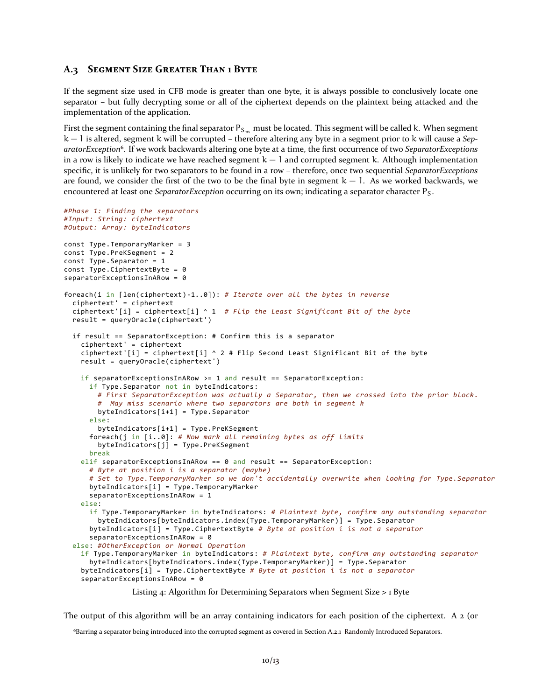#### **A.3 SEGMENT SIZE GREATER THAN 1 BYTE**

If the segment size used in CFB mode is greater than one byte, it is always possible to conclusively locate one separator – but fully decrypting some or all of the ciphertext depends on the plaintext being attacked and the implementation of the application.

First the segment containing the final separator  $P_{S_m}$  must be located. This segment will be called k. When segment k − 1 is altered, segment k will be corrupted – therefore altering any byte in a segment prior to k will cause a *SeparatorException*[⁶.](#page-9-0) If we work backwards altering one byte at a time, the first occurrence of two *SeparatorExceptions* in a row is likely to indicate we have reached segment  $k - 1$  and corrupted segment k. Although implementation specific, it is unlikely for two separators to be found in a row – therefore, once two sequential *SeparatorExceptions* are found, we consider the first of the two to be the final byte in segment  $k - 1$ . As we worked backwards, we encountered at least one *SeparatorException* occurring on its own; indicating a separator character PS.

```
#Phase 1: Finding the separators
#Input: String: ciphertext
#Output: Array: byteIndicators
const Type.TemporaryMarker = 3
const Type.PreKSegment = 2
const Type.Separator = 1
const Type.CiphertextByte = 0
separatorExceptionsInARow = 0
foreach(i in [len(ciphertext)-1..0]): # Iterate over all the bytes in reverse
  ciphertext' = ciphertext
  ciphertext'[i] = ciphertext[i] ^ 1 # Flip the Least Significant Bit of the byte
  result = queryOracle(ciphertext')
  if result == SeparatorException: # Confirm this is a separator
    ciphertext' = ciphertext
    ciphertext'[i] = ciphertext[i] \land 2 # Flip Second Least Significant Bit of the byte
   result = queryOracle(ciphertext')
   if separatorExceptionsInARow >= 1 and result == SeparatorException:
      if Type.Separator not in byteIndicators:
        # First SeparatorException was actually a Separator, then we crossed into the prior block.
        # May miss scenario where two separators are both in segment k
        byteIndicators[i+1] = Type.Separator
      else:
        byteIndicators[i+1] = Type.PreKSegment
      foreach(j in [i..0]: # Now mark all remaining bytes as off limits
        byteIndicators[j] = Type.PreKSegment
      break
    elif separatorExceptionsInARow == 0 and result == SeparatorException:
      # Byte at position i is a separator (maybe)
      # Set to Type.TemporaryMarker so we don't accidentally overwrite when looking for Type.Separator
      byteIndicators[i] = Type.TemporaryMarker
      separatorExceptionsInARow = 1
    else:
      if Type.TemporaryMarker in byteIndicators: # Plaintext byte, confirm any outstanding separator
        byteIndicators[byteIndicators.index(Type.TemporaryMarker)] = Type.Separator
      byteIndicators[i] = Type.CiphertextByte # Byte at position i is not a separator
      separatorExceptionsInARow = 0
  else: #OtherException or Normal Operation
    if Type.TemporaryMarker in byteIndicators: # Plaintext byte, confirm any outstanding separator
      byteIndicators[byteIndicators.index(Type.TemporaryMarker)] = Type.Separator
    byteIndicators[i] = Type.CiphertextByte # Byte at position i is not a separator
    separatorExceptionsInARow = 0
                Listing 4: Algorithm for Determining Separators when Segment Size > 1 Byte
```
The output of this algorithm will be an array containing indicators for each position of the ciphertext. A 2 (or

<span id="page-9-0"></span>⁶Barring a separator being introduced into the corrupted segment as covered in Section [A.2.1](#page-8-3) [Randomly Introduced Separators.](#page-8-3)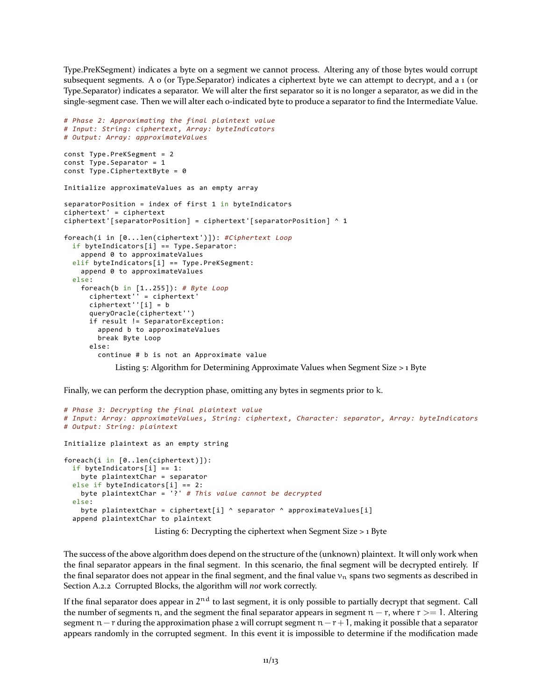Type.PreKSegment) indicates a byte on a segment we cannot process. Altering any of those bytes would corrupt subsequent segments. A 0 (or Type.Separator) indicates a ciphertext byte we can attempt to decrypt, and a 1 (or Type.Separator) indicates a separator. We will alter the first separator so it is no longer a separator, as we did in the single-segment case. Then we will alter each 0-indicated byte to produce a separator to find the Intermediate Value.

```
# Phase 2: Approximating the final plaintext value
# Input: String: ciphertext, Array: byteIndicators
# Output: Array: approximateValues
const Type.PreKSegment = 2
const Type.Separator = 1
const Type.CiphertextByte = 0
Initialize approximateValues as an empty array
separatorPosition = index of first 1 in byteIndicators
ciphertext' = ciphertext
ciphertext'[separatorPosition] = ciphertext'[separatorPosition] ^ 1
foreach(i in [0...len(ciphertext')]): #Ciphertext Loop
  if byteIndicators[i] == Type.Separator:
    append 0 to approximateValues
  elif byteIndicators[i] == Type.PreKSegment:
   append 0 to approximateValues
  else:
   foreach(b in [1..255]): # Byte Loop
     ciphertext'' = ciphertext'
      ciphertext''[i] = b
      queryOracle(ciphertext'')
      if result != SeparatorException:
        append b to approximateValues
        break Byte Loop
      else:
        continue # b is not an Approximate value
```
Listing 5: Algorithm for Determining Approximate Values when Segment Size > 1 Byte

Finally, we can perform the decryption phase, omitting any bytes in segments prior to k.

```
# Phase 3: Decrypting the final plaintext value
# Input: Array: approximateValues, String: ciphertext, Character: separator, Array: byteIndicators
# Output: String: plaintext
Initialize plaintext as an empty string
foreach(i in [0..len(ciphertext)]):
  if byteIndicators[i] == 1:
   byte plaintextChar = separator
  else if byteIndicators[i] == 2:
    byte plaintextChar = '?' # This value cannot be decrypted
  else:
    byte plaintextChar = ciphertext[i] \land separator \land approximateValues[i]
  append plaintextChar to plaintext
                      Listing 6: Decrypting the ciphertext when Segment Size > 1 Byte
```
The success of the above algorithm does depend on the structure of the (unknown) plaintext. It will only work when the final separator appears in the final segment. In this scenario, the final segment will be decrypted entirely. If the final separator does not appear in the final segment, and the final value  $v_n$  spans two segments as described in Section [A.2.2](#page-8-4) [Corrupted Blocks](#page-8-4), the algorithm will *not* work correctly.

If the final separator does appear in 2 $^{nd}$  to last segment, it is only possible to partially decrypt that segment. Call the number of segments n, and the segment the final separator appears in segment  $n - r$ , where  $r \geq 1$ . Altering segment  $n-r$  during the approximation phase 2 will corrupt segment  $n-r+1$ , making it possible that a separator appears randomly in the corrupted segment. In this event it is impossible to determine if the modification made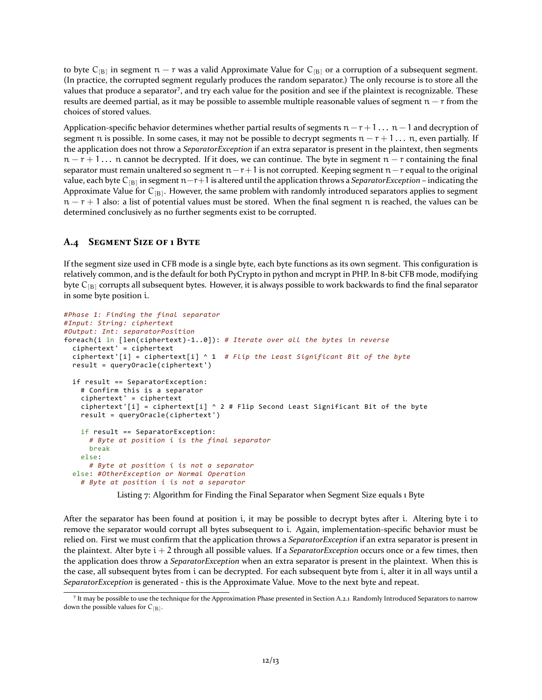to byte  $C_{[B]}$  in segment  $n-r$  was a valid Approximate Value for  $C_{[B]}$  or a corruption of a subsequent segment. (In practice, the corrupted segment regularly produces the random separator.) The only recourse is to store all the values that produce a separator<sup>7</sup>, and try each value for the position and see if the plaintext is recognizable. These results are deemed partial, as it may be possible to assemble multiple reasonable values of segment  $n - r$  from the choices of stored values.

Application-specific behavior determines whether partial results of segments  $n - r + 1 \dots n - 1$  and decryption of segment n is possible. In some cases, it may not be possible to decrypt segments  $n - r + 1...$  n, even partially. If the application does not throw a *SeparatorException* if an extra separator is present in the plaintext, then segments  $n - r + 1...$  n cannot be decrypted. If it does, we can continue. The byte in segment  $n - r$  containing the final separator must remain unaltered so segment  $n-r+1$  is not corrupted. Keeping segment  $n-r$  equal to the original value, each byte C[B] in segment n−r+1 is altered until the application throws a *SeparatorException* – indicating the Approximate Value for  $C_{[B]}.$  However, the same problem with randomly introduced separators applies to segment  $n - r + 1$  also: a list of potential values must be stored. When the final segment n is reached, the values can be determined conclusively as no further segments exist to be corrupted.

### **A.4 SEGMENT SIZE OF 1 BYTE**

If the segment size used in CFB mode is a single byte, each byte functions as its own segment. This configuration is relatively common, and is the default for both PyCrypto in python and mcrypt in PHP. In 8-bit CFB mode, modifying byte  $C_{\rm{[B]}}$  corrupts all subsequent bytes. However, it is always possible to work backwards to find the final separator in some byte position i.

```
#Phase 1: Finding the final separator
#Input: String: ciphertext
#Output: Int: separatorPosition
foreach(i in [len(ciphertext)-1..0]): # Iterate over all the bytes in reverse
  ciphertext' = ciphertext
  ciphertext'[i] = ciphertext[i] ^ 1 # Flip the Least Significant Bit of the byte
  result = queryOracle(ciphertext')
  if result == SeparatorException:
    # Confirm this is a separator
    ciphertext' = ciphertext
    ciphertext'[i] = ciphertext[i] \land 2 # Flip Second Least Significant Bit of the byte
    result = queryOracle(ciphertext')
    if result == SeparatorException:
      # Byte at position i is the final separator
      break
    else:
     # Byte at position i is not a separator
  else: #OtherException or Normal Operation
    # Byte at position i is not a separator
```
Listing 7: Algorithm for Finding the Final Separator when Segment Size equals 1 Byte

After the separator has been found at position i, it may be possible to decrypt bytes after i. Altering byte i to remove the separator would corrupt all bytes subsequent to i. Again, implementation-specific behavior must be relied on. First we must confirm that the application throws a *SeparatorException* if an extra separator is present in the plaintext. Alter byte  $i + 2$  through all possible values. If a *SeparatorException* occurs once or a few times, then the application does throw a *SeparatorException* when an extra separator is present in the plaintext. When this is the case, all subsequent bytes from i can be decrypted. For each subsequent byte from i, alter it in all ways until a *SeparatorException* is generated - this is the Approximate Value. Move to the next byte and repeat.

<span id="page-11-0"></span>⁷ It may be possible to use the technique for the Approximation Phase presented in Section [A.2.1](#page-8-3) [Randomly Introduced Separators](#page-8-3) to narrow down the possible values for  $C_{[B]}$ .